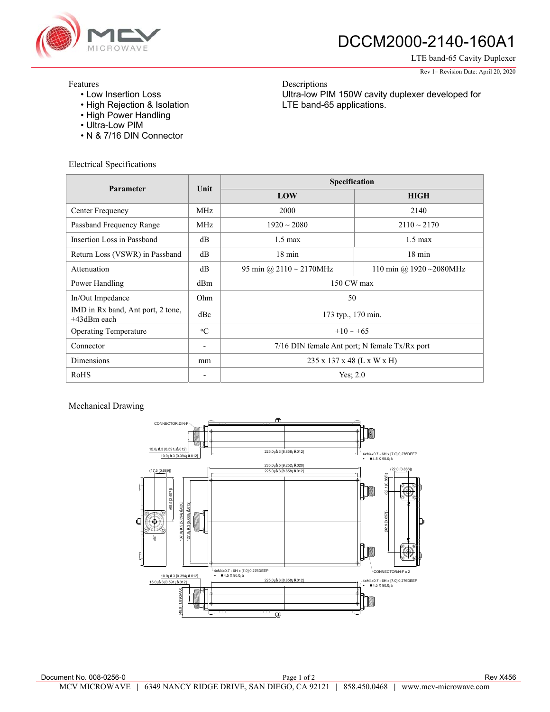

## DCCM2000-2140-160A1

Ultra-low PIM 150W cavity duplexer developed for

LTE band-65 Cavity Duplexer Rev 1– Revision Date: April 20, 2020

## Features

- Low Insertion Loss
- High Rejection & Isolation
- High Power Handling
- Ultra-Low PIM
- N & 7/16 DIN Connector

Electrical Specifications

| Parameter                                           | Unit           | Specification                                 |                                |
|-----------------------------------------------------|----------------|-----------------------------------------------|--------------------------------|
|                                                     |                | LOW                                           | <b>HIGH</b>                    |
| Center Frequency                                    | MHz            | 2000                                          | 2140                           |
| Passband Frequency Range                            | MHz            | $1920 \sim 2080$                              | $2110 \sim 2170$               |
| Insertion Loss in Passband                          | dB             | $1.5 \text{ max}$                             | $1.5 \text{ max}$              |
| Return Loss (VSWR) in Passband                      | dB             | $18 \text{ min}$                              | $18 \text{ min}$               |
| Attenuation                                         | dB             | 95 min @ 2110 $\sim$ 2170MHz                  | 110 min @ $1920 \sim 2080$ MHz |
| Power Handling                                      | dBm            | 150 CW max                                    |                                |
| In/Out Impedance                                    | Ohm            | 50                                            |                                |
| IMD in Rx band, Ant port, 2 tone,<br>$+43$ dBm each | dBc            | 173 typ., 170 min.                            |                                |
| <b>Operating Temperature</b>                        | $\rm ^{o}C$    | $+10 \sim +65$                                |                                |
| Connector                                           | $\overline{a}$ | 7/16 DIN female Ant port; N female Tx/Rx port |                                |
| <b>Dimensions</b>                                   | mm             | 235 x 137 x 48 (L x W x H)                    |                                |
| RoHS                                                |                | Yes; $2.0$                                    |                                |

Descriptions

LTE band-65 applications.

## Mechanical Drawing